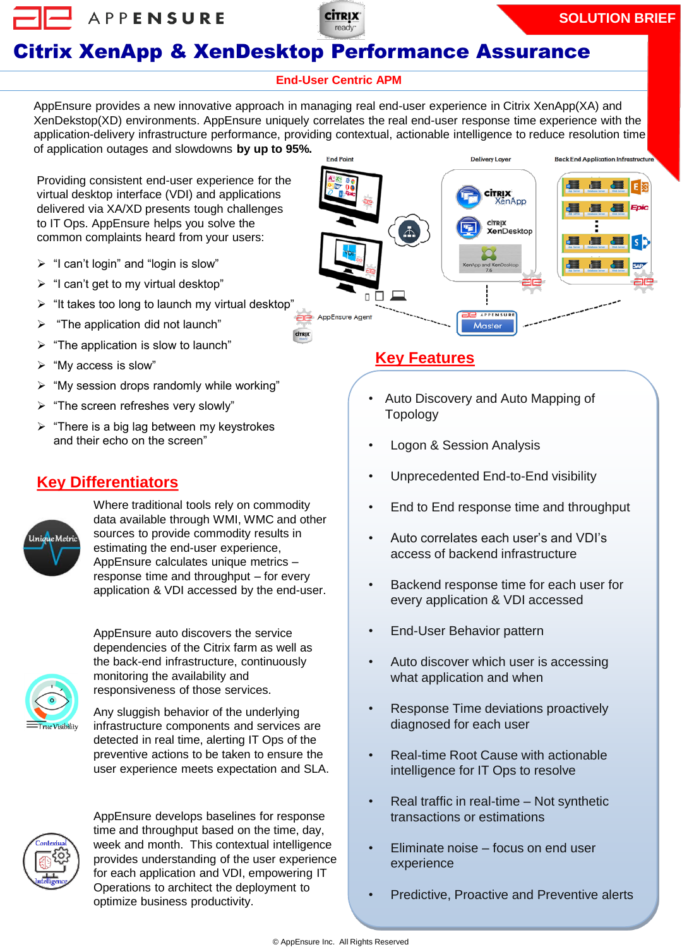**SOLUTION BRIEF**

## Citrix XenApp & XenDesktop Performance Assurance

#### **End-User Centric APM**

**CİTRIX** 

ready

AppEnsure provides a new innovative approach in managing real end-user experience in Citrix XenApp(XA) and XenDekstop(XD) environments. AppEnsure uniquely correlates the real end-user response time experience with the application-delivery infrastructure performance, providing contextual, actionable intelligence to reduce resolution time of application outages and slowdowns **by up to 95%.**

Providing consistent end-user experience for the virtual desktop interface (VDI) and applications delivered via XA/XD presents tough challenges to IT Ops. AppEnsure helps you solve the common complaints heard from your users:

APPENSURE

- $\triangleright$  "I can't login" and "login is slow"
- $\triangleright$  "I can't get to my virtual desktop"
- $\triangleright$  "It takes too long to launch my virtual desktop"
- $\triangleright$  "The application did not launch"
- $\triangleright$  "The application is slow to launch"
- "My access is slow"
- $\triangleright$  "My session drops randomly while working"
- $\triangleright$  "The screen refreshes very slowly"
- $\triangleright$  "There is a big lag between my keystrokes and their echo on the screen"

#### **Key Differentiators**



Where traditional tools rely on commodity data available through WMI, WMC and other sources to provide commodity results in estimating the end-user experience, AppEnsure calculates unique metrics – response time and throughput – for every application & VDI accessed by the end-user.



the back-end infrastructure, continuously monitoring the availability and responsiveness of those services. Any sluggish behavior of the underlying infrastructure components and services are

AppEnsure auto discovers the service dependencies of the Citrix farm as well as

detected in real time, alerting IT Ops of the preventive actions to be taken to ensure the user experience meets expectation and SLA.



AppEnsure develops baselines for response time and throughput based on the time, day, week and month. This contextual intelligence provides understanding of the user experience for each application and VDI, empowering IT Operations to architect the deployment to optimize business productivity.



#### **Key Features**

- Auto Discovery and Auto Mapping of Topology
- Logon & Session Analysis
- Unprecedented End-to-End visibility
- End to End response time and throughput
- Auto correlates each user's and VDI's access of backend infrastructure
- Backend response time for each user for every application & VDI accessed
- End-User Behavior pattern
- Auto discover which user is accessing what application and when
- Response Time deviations proactively diagnosed for each user
- Real-time Root Cause with actionable intelligence for IT Ops to resolve
- Real traffic in real-time Not synthetic transactions or estimations
- Eliminate noise focus on end user experience
- Predictive, Proactive and Preventive alerts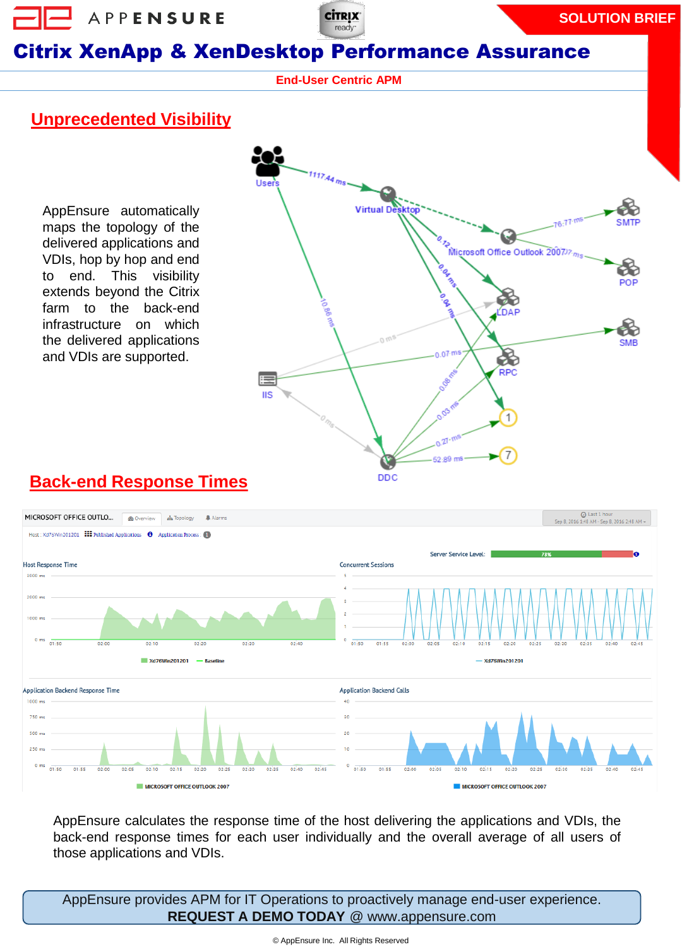APPENSURE

**CİTRIX** ready

#### **SOLUTION BRIEF**

## Citrix XenApp & XenDesktop Performance Assurance

**End-User Centric APM**

### **Unprecedented Visibility**

AppEnsure automatically maps the topology of the delivered applications and VDIs, hop by hop and end to end. This visibility extends beyond the Citrix farm to the back-end infrastructure on which the delivered applications and VDIs are supported.



### **Back-end Response Times**



AppEnsure calculates the response time of the host delivering the applications and VDIs, the back-end response times for each user individually and the overall average of all users of those applications and VDIs.

AppEnsure provides APM for IT Operations to proactively manage end-user experience. **REQUEST A DEMO TODAY** @ www.appensure.com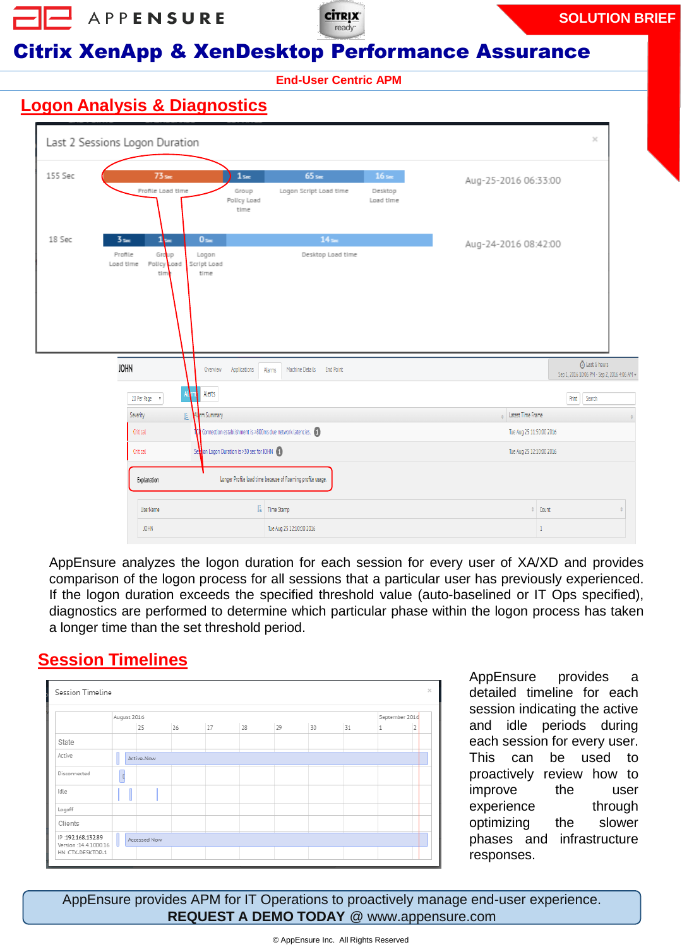

# Citrix XenApp & XenDesktop Performance Assurance

APPENSURE

**CİTRIX** 

ready

**End-User Centric APMLogon Analysis & Diagnostics** Last 2 Sessions Logon Duration  $155.5e$  $1<sub>2</sub>$ 65. Aug-25-2016 06:33:00 Profile Load time Group Logon Script Load time Desktop Policy Load Load time time 18 Sec  $0<sub>5</sub>$ Aug-24-2016 08:42:00 Profile  $\mathbb{G}$ r Logon Desktop Load time Load fime Polic ovid Script Load  $^{+1}$ time A Last 6 hours **JOHN** Overview Applications Alarms Machine Details End Point Sep 1, 2016 10:06 PM - Sep 2, 2016 4:06 AM = Alerts 20 Per Page Print Search Severity Latest Time Frame E m Summary Critica Connection establishment is >800ms due network latencies. Tue Aug 25 11:50:00 2016 Critica Logon Duration is >30 sec for JOHN ( Tue Aug 25 12:10:00 2016 Longer Profile load time because of Roaming profile usage Explanation **IlgerName** E Time Stamp  $\approx$  Count é. Tue Aug 25 12:10:00 2016  $\bar{1}$ **JOHN** 

AppEnsure analyzes the logon duration for each session for every user of XA/XD and provides comparison of the logon process for all sessions that a particular user has previously experienced. If the logon duration exceeds the specified threshold value (auto-baselined or IT Ops specified), diagnostics are performed to determine which particular phase within the logon process has taken a longer time than the set threshold period.

### **Session Timelines**



AppEnsure provides a detailed timeline for each session indicating the active and idle periods during each session for every user. This can be used to proactively review how to improve the user experience through optimizing the slower phases and infrastructure responses.

AppEnsure provides APM for IT Operations to proactively manage end-user experience. **REQUEST A DEMO TODAY** @ www.appensure.com